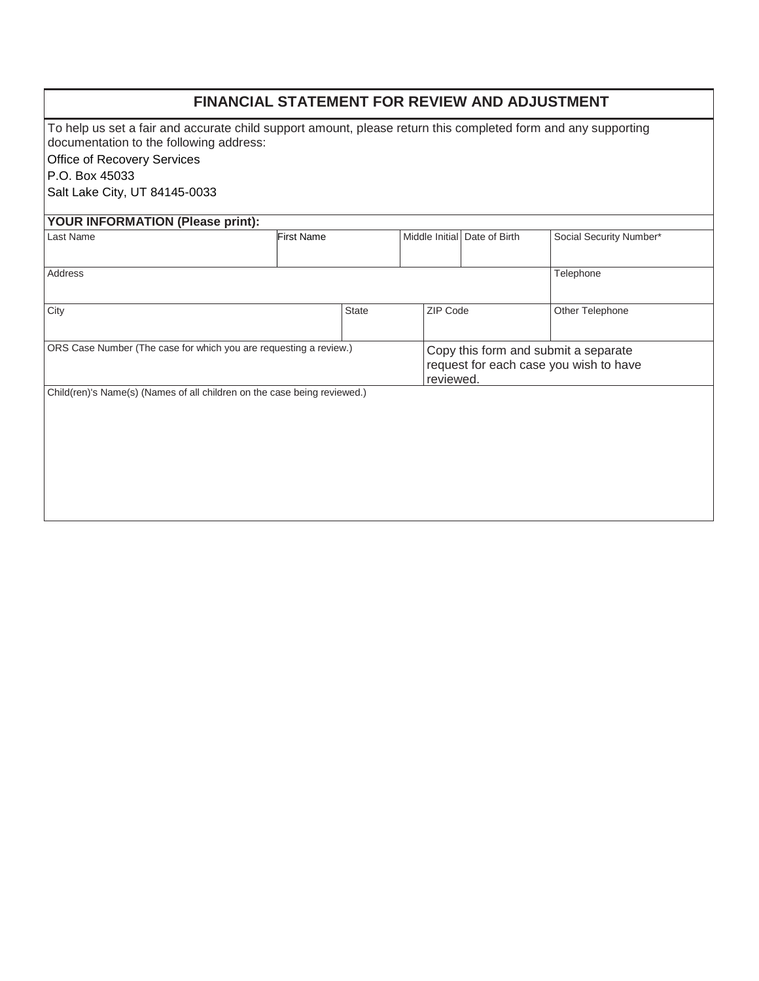| <b>FINANCIAL STATEMENT FOR REVIEW AND ADJUSTMENT</b>                                                                                                     |                   |              |                |                                                                                             |                         |  |  |
|----------------------------------------------------------------------------------------------------------------------------------------------------------|-------------------|--------------|----------------|---------------------------------------------------------------------------------------------|-------------------------|--|--|
| To help us set a fair and accurate child support amount, please return this completed form and any supporting<br>documentation to the following address: |                   |              |                |                                                                                             |                         |  |  |
| Office of Recovery Services                                                                                                                              |                   |              |                |                                                                                             |                         |  |  |
| P.O. Box 45033                                                                                                                                           |                   |              |                |                                                                                             |                         |  |  |
| Salt Lake City, UT 84145-0033                                                                                                                            |                   |              |                |                                                                                             |                         |  |  |
| YOUR INFORMATION (Please print):                                                                                                                         |                   |              |                |                                                                                             |                         |  |  |
| Last Name                                                                                                                                                | <b>First Name</b> |              | Middle Initial | Date of Birth                                                                               | Social Security Number* |  |  |
| Address<br>Telephone                                                                                                                                     |                   |              |                |                                                                                             |                         |  |  |
| City                                                                                                                                                     |                   | <b>State</b> | ZIP Code       |                                                                                             | Other Telephone         |  |  |
| ORS Case Number (The case for which you are requesting a review.)                                                                                        |                   |              |                | Copy this form and submit a separate<br>request for each case you wish to have<br>reviewed. |                         |  |  |
| Child(ren)'s Name(s) (Names of all children on the case being reviewed.)                                                                                 |                   |              |                |                                                                                             |                         |  |  |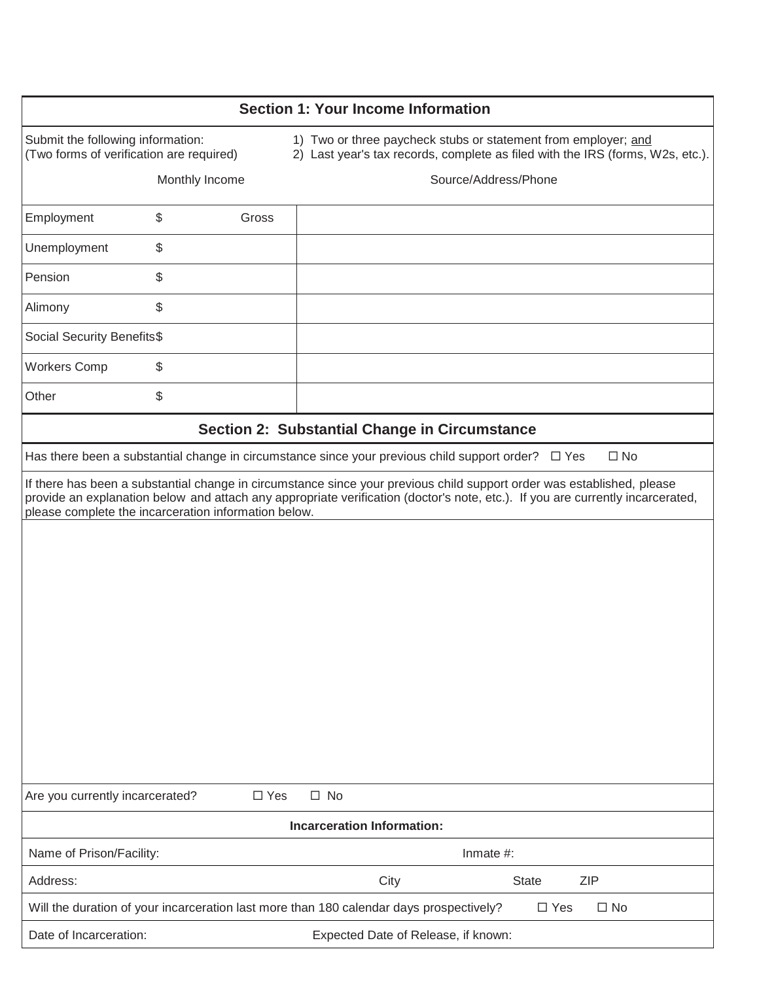| <b>Section 1: Your Income Information</b>                                                                                                                                                                                                                                                                        |                                          |                                                                                                                                                  |  |  |  |  |  |  |
|------------------------------------------------------------------------------------------------------------------------------------------------------------------------------------------------------------------------------------------------------------------------------------------------------------------|------------------------------------------|--------------------------------------------------------------------------------------------------------------------------------------------------|--|--|--|--|--|--|
|                                                                                                                                                                                                                                                                                                                  |                                          |                                                                                                                                                  |  |  |  |  |  |  |
| Submit the following information:<br>(Two forms of verification are required)                                                                                                                                                                                                                                    |                                          | 1) Two or three paycheck stubs or statement from employer; and<br>2) Last year's tax records, complete as filed with the IRS (forms, W2s, etc.). |  |  |  |  |  |  |
|                                                                                                                                                                                                                                                                                                                  | Monthly Income                           | Source/Address/Phone                                                                                                                             |  |  |  |  |  |  |
| Employment                                                                                                                                                                                                                                                                                                       | \$<br>Gross                              |                                                                                                                                                  |  |  |  |  |  |  |
| Unemployment                                                                                                                                                                                                                                                                                                     | \$                                       |                                                                                                                                                  |  |  |  |  |  |  |
| Pension                                                                                                                                                                                                                                                                                                          | \$                                       |                                                                                                                                                  |  |  |  |  |  |  |
| Alimony                                                                                                                                                                                                                                                                                                          | \$                                       |                                                                                                                                                  |  |  |  |  |  |  |
| Social Security Benefits\$                                                                                                                                                                                                                                                                                       |                                          |                                                                                                                                                  |  |  |  |  |  |  |
| <b>Workers Comp</b>                                                                                                                                                                                                                                                                                              | \$                                       |                                                                                                                                                  |  |  |  |  |  |  |
| Other                                                                                                                                                                                                                                                                                                            | \$                                       |                                                                                                                                                  |  |  |  |  |  |  |
|                                                                                                                                                                                                                                                                                                                  |                                          | Section 2: Substantial Change in Circumstance                                                                                                    |  |  |  |  |  |  |
|                                                                                                                                                                                                                                                                                                                  |                                          | $\square$ No<br>Has there been a substantial change in circumstance since your previous child support order?<br>$\Box$ Yes                       |  |  |  |  |  |  |
| If there has been a substantial change in circumstance since your previous child support order was established, please<br>provide an explanation below and attach any appropriate verification (doctor's note, etc.). If you are currently incarcerated,<br>please complete the incarceration information below. |                                          |                                                                                                                                                  |  |  |  |  |  |  |
|                                                                                                                                                                                                                                                                                                                  |                                          |                                                                                                                                                  |  |  |  |  |  |  |
|                                                                                                                                                                                                                                                                                                                  |                                          |                                                                                                                                                  |  |  |  |  |  |  |
|                                                                                                                                                                                                                                                                                                                  |                                          |                                                                                                                                                  |  |  |  |  |  |  |
|                                                                                                                                                                                                                                                                                                                  |                                          |                                                                                                                                                  |  |  |  |  |  |  |
|                                                                                                                                                                                                                                                                                                                  |                                          |                                                                                                                                                  |  |  |  |  |  |  |
|                                                                                                                                                                                                                                                                                                                  |                                          |                                                                                                                                                  |  |  |  |  |  |  |
|                                                                                                                                                                                                                                                                                                                  |                                          |                                                                                                                                                  |  |  |  |  |  |  |
| Are you currently incarcerated?                                                                                                                                                                                                                                                                                  | $\square$ Yes                            | $\square$ No                                                                                                                                     |  |  |  |  |  |  |
| <b>Incarceration Information:</b>                                                                                                                                                                                                                                                                                |                                          |                                                                                                                                                  |  |  |  |  |  |  |
|                                                                                                                                                                                                                                                                                                                  | Name of Prison/Facility:<br>Inmate $#$ : |                                                                                                                                                  |  |  |  |  |  |  |
| Address:                                                                                                                                                                                                                                                                                                         |                                          | City<br><b>ZIP</b><br><b>State</b>                                                                                                               |  |  |  |  |  |  |
| Will the duration of your incarceration last more than 180 calendar days prospectively?<br>$\Box$ Yes<br>$\Box$ No                                                                                                                                                                                               |                                          |                                                                                                                                                  |  |  |  |  |  |  |
| Date of Incarceration:                                                                                                                                                                                                                                                                                           |                                          | Expected Date of Release, if known:                                                                                                              |  |  |  |  |  |  |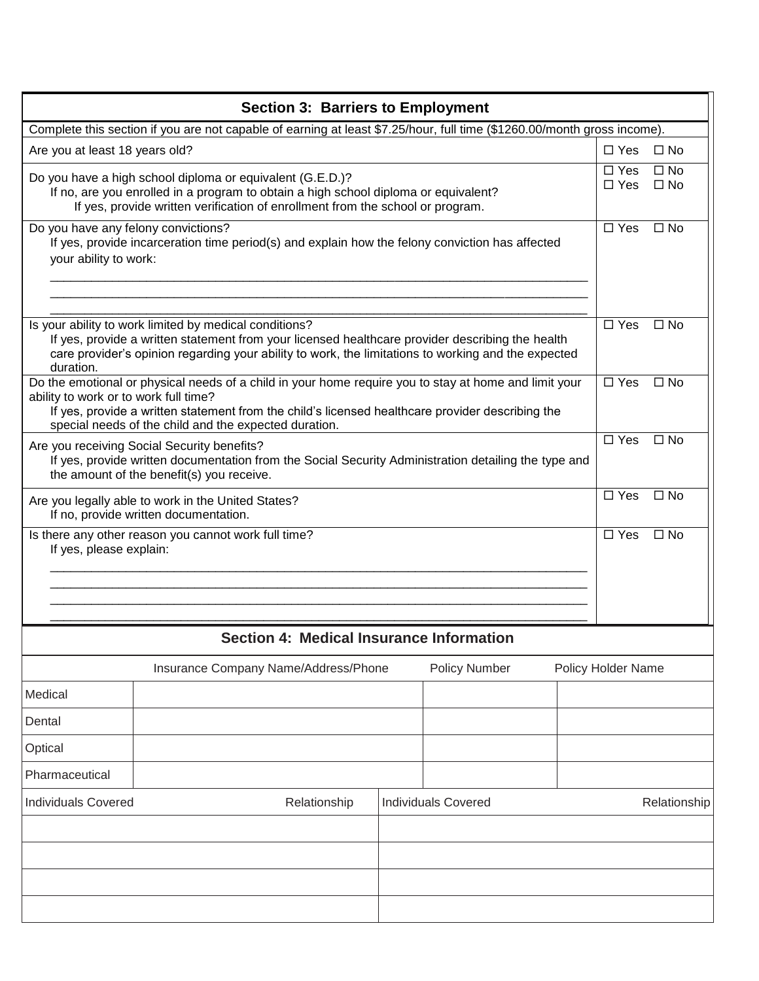| <b>Section 3: Barriers to Employment</b>                                                                                                                                                                                                                                                                    |                                                 |              |                            |  |                    |                              |  |
|-------------------------------------------------------------------------------------------------------------------------------------------------------------------------------------------------------------------------------------------------------------------------------------------------------------|-------------------------------------------------|--------------|----------------------------|--|--------------------|------------------------------|--|
| Complete this section if you are not capable of earning at least \$7.25/hour, full time (\$1260.00/month gross income).                                                                                                                                                                                     |                                                 |              |                            |  |                    |                              |  |
| Are you at least 18 years old?                                                                                                                                                                                                                                                                              |                                                 |              |                            |  | $\Box$ Yes         | $\square$ No                 |  |
| Do you have a high school diploma or equivalent (G.E.D.)?<br>If no, are you enrolled in a program to obtain a high school diploma or equivalent?<br>If yes, provide written verification of enrollment from the school or program.                                                                          |                                                 |              |                            |  |                    | $\square$ No<br>$\square$ No |  |
| Do you have any felony convictions?<br>If yes, provide incarceration time period(s) and explain how the felony conviction has affected<br>your ability to work:                                                                                                                                             | $\square$ Yes                                   | $\square$ No |                            |  |                    |                              |  |
| Is your ability to work limited by medical conditions?<br>If yes, provide a written statement from your licensed healthcare provider describing the health<br>care provider's opinion regarding your ability to work, the limitations to working and the expected<br>duration.                              |                                                 |              |                            |  |                    | $\square$ No                 |  |
| Do the emotional or physical needs of a child in your home require you to stay at home and limit your<br>ability to work or to work full time?<br>If yes, provide a written statement from the child's licensed healthcare provider describing the<br>special needs of the child and the expected duration. |                                                 |              |                            |  |                    | $\Box$ No                    |  |
| Are you receiving Social Security benefits?<br>If yes, provide written documentation from the Social Security Administration detailing the type and<br>the amount of the benefit(s) you receive.                                                                                                            |                                                 |              |                            |  |                    | $\Box$ No                    |  |
| Are you legally able to work in the United States?<br>If no, provide written documentation.                                                                                                                                                                                                                 |                                                 |              |                            |  |                    | $\square$ No                 |  |
| Is there any other reason you cannot work full time?<br>If yes, please explain:                                                                                                                                                                                                                             | $\Box$ Yes                                      | $\Box$ No    |                            |  |                    |                              |  |
|                                                                                                                                                                                                                                                                                                             | <b>Section 4: Medical Insurance Information</b> |              |                            |  |                    |                              |  |
|                                                                                                                                                                                                                                                                                                             | Insurance Company Name/Address/Phone            |              | <b>Policy Number</b>       |  | Policy Holder Name |                              |  |
| Medical                                                                                                                                                                                                                                                                                                     |                                                 |              |                            |  |                    |                              |  |
| Dental                                                                                                                                                                                                                                                                                                      |                                                 |              |                            |  |                    |                              |  |
| Optical                                                                                                                                                                                                                                                                                                     |                                                 |              |                            |  |                    |                              |  |
| Pharmaceutical                                                                                                                                                                                                                                                                                              |                                                 |              |                            |  |                    |                              |  |
| <b>Individuals Covered</b><br>Relationship                                                                                                                                                                                                                                                                  |                                                 |              | <b>Individuals Covered</b> |  |                    | Relationship                 |  |
|                                                                                                                                                                                                                                                                                                             |                                                 |              |                            |  |                    |                              |  |
|                                                                                                                                                                                                                                                                                                             |                                                 |              |                            |  |                    |                              |  |
|                                                                                                                                                                                                                                                                                                             |                                                 |              |                            |  |                    |                              |  |
|                                                                                                                                                                                                                                                                                                             |                                                 |              |                            |  |                    |                              |  |